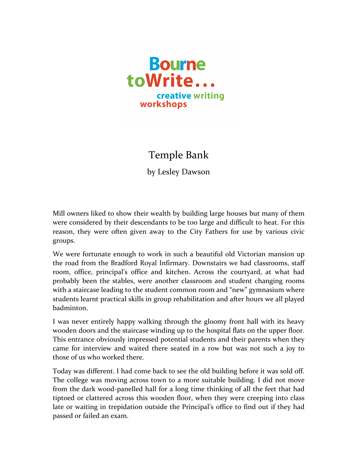

## Temple Bank

by Lesley Dawson

Mill owners liked to show their wealth by building large houses but many of them were considered by their descendants to be too large and difficult to heat. For this reason, they were often given away to the City Fathers for use by various civic groups.

We were fortunate enough to work in such a beautiful old Victorian mansion up the road from the Bradford Royal Infirmary. Downstairs we had classrooms, staff room, office, principal's office and kitchen. Across the courtyard, at what had probably been the stables, were another classroom and student changing rooms with a staircase leading to the student common room and "new" gymnasium where students learnt practical skills in group rehabilitation and after hours we all played badminton.

I was never entirely happy walking through the gloomy front hall with its heavy wooden doors and the staircase winding up to the hospital flats on the upper floor. This entrance obviously impressed potential students and their parents when they came for interview and waited there seated in a row but was not such a joy to those of us who worked there.

Today was different. I had come back to see the old building before it was sold off. The college was moving across town to a more suitable building. I did not move from the dark wood-panelled hall for a long time thinking of all the feet that had tiptoed or clattered across this wooden floor, when they were creeping into class late or waiting in trepidation outside the Principal's office to find out if they had passed or failed an exam.